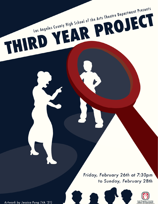Friday, February 26th at 7:30pm to Sunday, February 28th

Los Angeles County High School of the Arts Theatre Department Presents

THIRD YEAR PROJECT



Artwork by Jessica Fung (VA '21)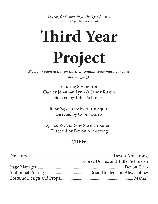*Los Angeles County High School for the Arts Theatre Department presents* 

# **Third Year Project**

*Please be advised this production contains some mature themes and language*

> Featuring Scenes from *Clue* by Jonathan Lynn & Sandy Rustin Directed by Tuffet Schmelzle

 *Running on Fire* by Aurin Squire Directed by Corey Dorris

*Speech & Debate* by Stephen Karam Directed by Devon Armstrong

# **CREW**

| Corey Dorris, and Tuffet Schmelzle |
|------------------------------------|
|                                    |
|                                    |
|                                    |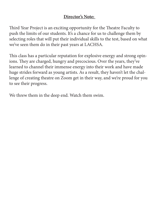## **Director's Note:**

Third Year Project is an exciting opportunity for the Theatre Faculty to push the limits of our students. It's a chance for us to challenge them by selecting roles that will put their individual skills to the test, based on what we've seen them do in their past years at LACHSA.

This class has a particular reputation for explosive energy and strong opinions. They are charged, hungry and precocious. Over the years, they've learned to channel their immense energy into their work and have made huge strides forward as young artists. As a result, they haven't let the challenge of creating theatre on Zoom get in their way, and we're proud for you to see their progress.

We threw them in the deep end. Watch them swim.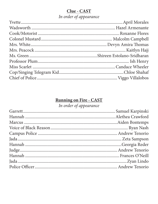# Clue - CAST

# In order of appearance

# Running on Fire - CAST

# In order of appearance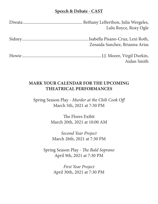## **Speech & Debate - CAST**

| Lulu Royce, Roxy Ogle          |
|--------------------------------|
| Zenaida Sanchez, Brianna Arias |
| Aidan Smith                    |

## **MARK YOUR CALENDAR FOR THE UPCOMING THEATRICAL PERFORMANCES**

Spring Season Play - *Murder at the Chili Cook Off* March 5th, 2021 at 7:30 PM

> The Flores Exibit March 20th, 2021 at 10:00 AM

*Second Year Project* March 26th, 2021 at 7:30 PM

Spring Season Play - *The Bald Soprano* April 9th, 2021 at 7:30 PM

> *First Year Project* April 30th, 2021 at 7:30 PM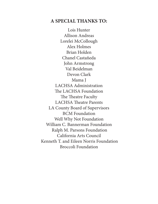## **A SPECIAL THANKS TO:**

Lois Hunter Allison Andreas Lorelei McCollough Alex Holmes Brian Holden Chanel Castañeda John Armstrong Val Beidelman Devon Clark Mama J LACHSA Administration The LACHSA Foundation The Theatre Faculty LACHSA Theatre Parents LA County Board of Supervisors BCM Foundation Well Why Not Foundation William C. Bannerman Foundation Ralph M. Parsons Foundation California Arts Council Kenneth T. and Eileen Norris Foundation Broccoli Foundation